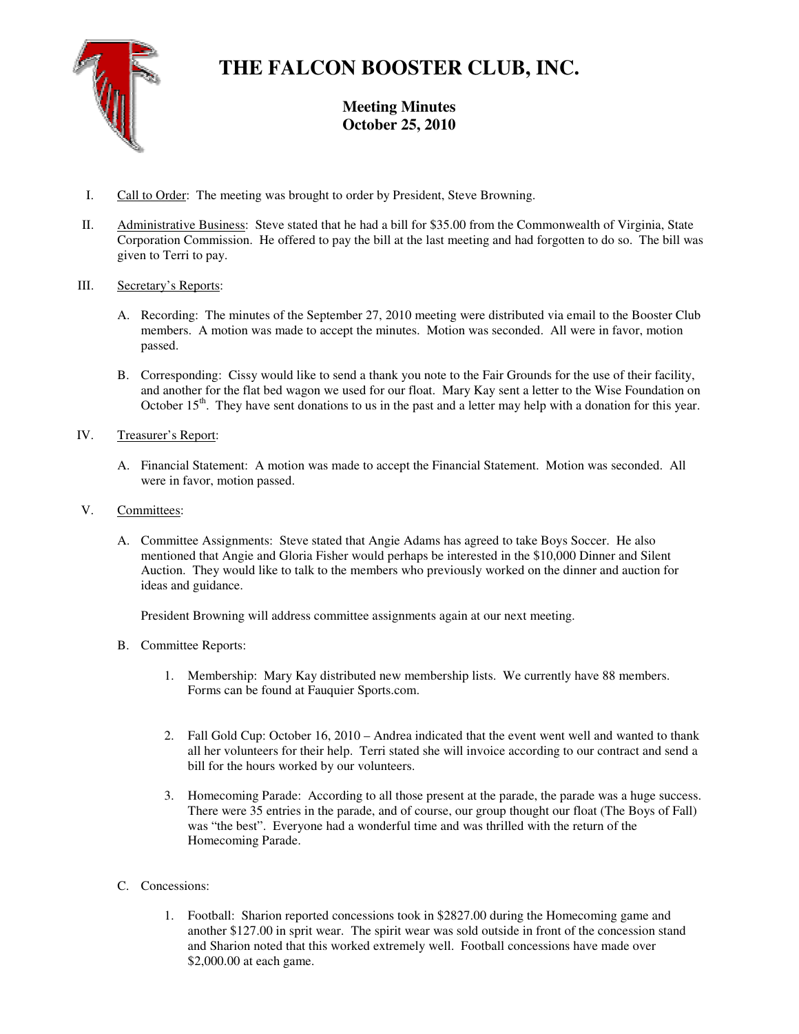

# **THE FALCON BOOSTER CLUB, INC.**

**Meeting Minutes October 25, 2010** 

- I. Call to Order: The meeting was brought to order by President, Steve Browning.
- II. Administrative Business: Steve stated that he had a bill for \$35.00 from the Commonwealth of Virginia, State Corporation Commission. He offered to pay the bill at the last meeting and had forgotten to do so. The bill was given to Terri to pay.

# III. Secretary's Reports:

- A. Recording: The minutes of the September 27, 2010 meeting were distributed via email to the Booster Club members. A motion was made to accept the minutes. Motion was seconded. All were in favor, motion passed.
- B. Corresponding: Cissy would like to send a thank you note to the Fair Grounds for the use of their facility, and another for the flat bed wagon we used for our float. Mary Kay sent a letter to the Wise Foundation on October 15<sup>th</sup>. They have sent donations to us in the past and a letter may help with a donation for this year.
- IV. Treasurer's Report:
	- A. Financial Statement: A motion was made to accept the Financial Statement. Motion was seconded. All were in favor, motion passed.
- V. Committees:
	- A. Committee Assignments: Steve stated that Angie Adams has agreed to take Boys Soccer. He also mentioned that Angie and Gloria Fisher would perhaps be interested in the \$10,000 Dinner and Silent Auction. They would like to talk to the members who previously worked on the dinner and auction for ideas and guidance.

President Browning will address committee assignments again at our next meeting.

- B. Committee Reports:
	- 1. Membership: Mary Kay distributed new membership lists. We currently have 88 members. Forms can be found at Fauquier Sports.com.
	- 2. Fall Gold Cup: October 16, 2010 Andrea indicated that the event went well and wanted to thank all her volunteers for their help. Terri stated she will invoice according to our contract and send a bill for the hours worked by our volunteers.
	- 3. Homecoming Parade: According to all those present at the parade, the parade was a huge success. There were 35 entries in the parade, and of course, our group thought our float (The Boys of Fall) was "the best". Everyone had a wonderful time and was thrilled with the return of the Homecoming Parade.
- C. Concessions:
	- 1. Football: Sharion reported concessions took in \$2827.00 during the Homecoming game and another \$127.00 in sprit wear. The spirit wear was sold outside in front of the concession stand and Sharion noted that this worked extremely well. Football concessions have made over \$2,000.00 at each game.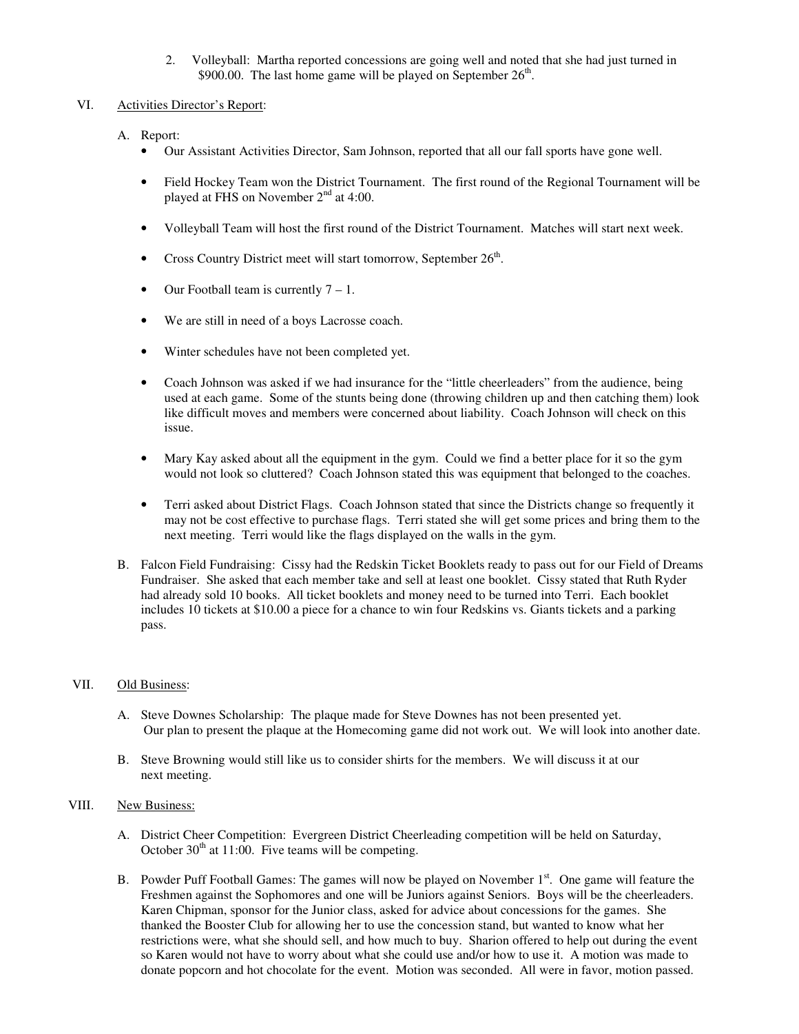2. Volleyball: Martha reported concessions are going well and noted that she had just turned in \$900.00. The last home game will be played on September  $26<sup>th</sup>$ .

#### VI. Activities Director's Report:

- A. Report:
	- Our Assistant Activities Director, Sam Johnson, reported that all our fall sports have gone well.
	- Field Hockey Team won the District Tournament. The first round of the Regional Tournament will be played at FHS on November  $2<sup>nd</sup>$  at 4:00.
	- Volleyball Team will host the first round of the District Tournament. Matches will start next week.
	- Cross Country District meet will start tomorrow, September  $26<sup>th</sup>$ .
	- Our Football team is currently  $7 1$ .
	- We are still in need of a boys Lacrosse coach.
	- Winter schedules have not been completed yet.
	- Coach Johnson was asked if we had insurance for the "little cheerleaders" from the audience, being used at each game. Some of the stunts being done (throwing children up and then catching them) look like difficult moves and members were concerned about liability. Coach Johnson will check on this issue.
	- Mary Kay asked about all the equipment in the gym. Could we find a better place for it so the gym would not look so cluttered? Coach Johnson stated this was equipment that belonged to the coaches.
	- Terri asked about District Flags. Coach Johnson stated that since the Districts change so frequently it may not be cost effective to purchase flags. Terri stated she will get some prices and bring them to the next meeting. Terri would like the flags displayed on the walls in the gym.
- B. Falcon Field Fundraising: Cissy had the Redskin Ticket Booklets ready to pass out for our Field of Dreams Fundraiser. She asked that each member take and sell at least one booklet. Cissy stated that Ruth Ryder had already sold 10 books. All ticket booklets and money need to be turned into Terri. Each booklet includes 10 tickets at \$10.00 a piece for a chance to win four Redskins vs. Giants tickets and a parking pass.

### VII. Old Business:

- A. Steve Downes Scholarship: The plaque made for Steve Downes has not been presented yet. Our plan to present the plaque at the Homecoming game did not work out. We will look into another date.
- B. Steve Browning would still like us to consider shirts for the members. We will discuss it at our next meeting.

## VIII. New Business:

- A. District Cheer Competition: Evergreen District Cheerleading competition will be held on Saturday, October  $30<sup>th</sup>$  at 11:00. Five teams will be competing.
- B. Powder Puff Football Games: The games will now be played on November 1<sup>st</sup>. One game will feature the Freshmen against the Sophomores and one will be Juniors against Seniors. Boys will be the cheerleaders. Karen Chipman, sponsor for the Junior class, asked for advice about concessions for the games. She thanked the Booster Club for allowing her to use the concession stand, but wanted to know what her restrictions were, what she should sell, and how much to buy. Sharion offered to help out during the event so Karen would not have to worry about what she could use and/or how to use it. A motion was made to donate popcorn and hot chocolate for the event. Motion was seconded. All were in favor, motion passed.